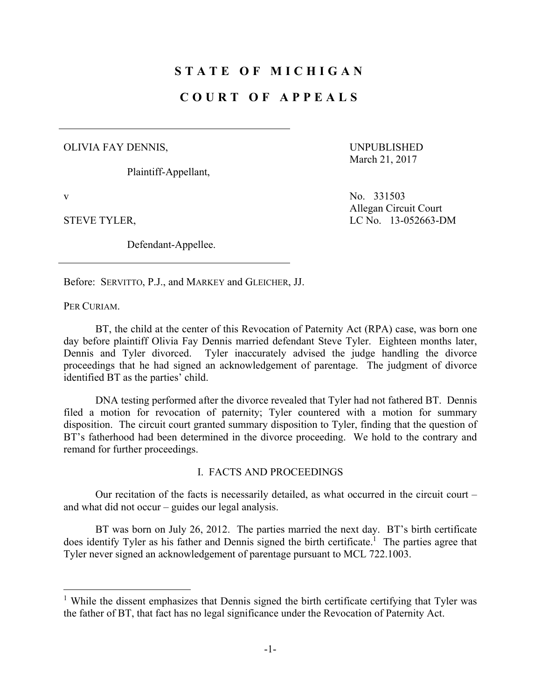# **STATE OF MICHIGAN**

## **COURT OF APPEALS**

#### OLIVIA FAY DENNIS,

Plaintiff-Appellant,

Defendant-Appellee.

UNPUBLISHED March 21, 2017

v No. 331503 Allegan Circuit Court STEVE TYLER, LC No. 13-052663-DM

Before: SERVITTO, P.J., and MARKEY and GLEICHER, JJ.

PER CURIAM.

 $\overline{a}$ 

 BT, the child at the center of this Revocation of Paternity Act (RPA) case, was born one day before plaintiff Olivia Fay Dennis married defendant Steve Tyler. Eighteen months later, Dennis and Tyler divorced. Tyler inaccurately advised the judge handling the divorce proceedings that he had signed an acknowledgement of parentage. The judgment of divorce identified BT as the parties' child.

 DNA testing performed after the divorce revealed that Tyler had not fathered BT. Dennis filed a motion for revocation of paternity; Tyler countered with a motion for summary disposition. The circuit court granted summary disposition to Tyler, finding that the question of BT's fatherhood had been determined in the divorce proceeding. We hold to the contrary and remand for further proceedings.

#### I. FACTS AND PROCEEDINGS

 Our recitation of the facts is necessarily detailed, as what occurred in the circuit court – and what did not occur – guides our legal analysis.

 BT was born on July 26, 2012. The parties married the next day. BT's birth certificate does identify Tyler as his father and Dennis signed the birth certificate.<sup>1</sup> The parties agree that Tyler never signed an acknowledgement of parentage pursuant to MCL 722.1003.

<sup>&</sup>lt;sup>1</sup> While the dissent emphasizes that Dennis signed the birth certificate certifying that Tyler was the father of BT, that fact has no legal significance under the Revocation of Paternity Act.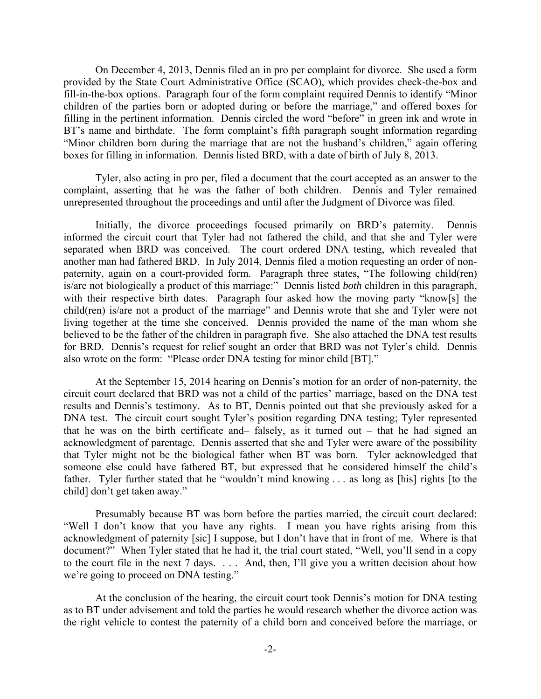On December 4, 2013, Dennis filed an in pro per complaint for divorce. She used a form provided by the State Court Administrative Office (SCAO), which provides check-the-box and fill-in-the-box options. Paragraph four of the form complaint required Dennis to identify "Minor children of the parties born or adopted during or before the marriage," and offered boxes for filling in the pertinent information. Dennis circled the word "before" in green ink and wrote in BT's name and birthdate. The form complaint's fifth paragraph sought information regarding "Minor children born during the marriage that are not the husband's children," again offering boxes for filling in information. Dennis listed BRD, with a date of birth of July 8, 2013.

 Tyler, also acting in pro per, filed a document that the court accepted as an answer to the complaint, asserting that he was the father of both children. Dennis and Tyler remained unrepresented throughout the proceedings and until after the Judgment of Divorce was filed.

 Initially, the divorce proceedings focused primarily on BRD's paternity. Dennis informed the circuit court that Tyler had not fathered the child, and that she and Tyler were separated when BRD was conceived. The court ordered DNA testing, which revealed that another man had fathered BRD. In July 2014, Dennis filed a motion requesting an order of nonpaternity, again on a court-provided form. Paragraph three states, "The following child(ren) is/are not biologically a product of this marriage:" Dennis listed *both* children in this paragraph, with their respective birth dates. Paragraph four asked how the moving party "know[s] the child(ren) is/are not a product of the marriage" and Dennis wrote that she and Tyler were not living together at the time she conceived. Dennis provided the name of the man whom she believed to be the father of the children in paragraph five. She also attached the DNA test results for BRD. Dennis's request for relief sought an order that BRD was not Tyler's child. Dennis also wrote on the form: "Please order DNA testing for minor child [BT]."

 At the September 15, 2014 hearing on Dennis's motion for an order of non-paternity, the circuit court declared that BRD was not a child of the parties' marriage, based on the DNA test results and Dennis's testimony. As to BT, Dennis pointed out that she previously asked for a DNA test. The circuit court sought Tyler's position regarding DNA testing; Tyler represented that he was on the birth certificate and– falsely, as it turned out – that he had signed an acknowledgment of parentage. Dennis asserted that she and Tyler were aware of the possibility that Tyler might not be the biological father when BT was born. Tyler acknowledged that someone else could have fathered BT, but expressed that he considered himself the child's father. Tyler further stated that he "wouldn't mind knowing . . . as long as [his] rights [to the child] don't get taken away."

 Presumably because BT was born before the parties married, the circuit court declared: "Well I don't know that you have any rights. I mean you have rights arising from this acknowledgment of paternity [sic] I suppose, but I don't have that in front of me. Where is that document?" When Tyler stated that he had it, the trial court stated, "Well, you'll send in a copy to the court file in the next 7 days. . . . And, then, I'll give you a written decision about how we're going to proceed on DNA testing."

 At the conclusion of the hearing, the circuit court took Dennis's motion for DNA testing as to BT under advisement and told the parties he would research whether the divorce action was the right vehicle to contest the paternity of a child born and conceived before the marriage, or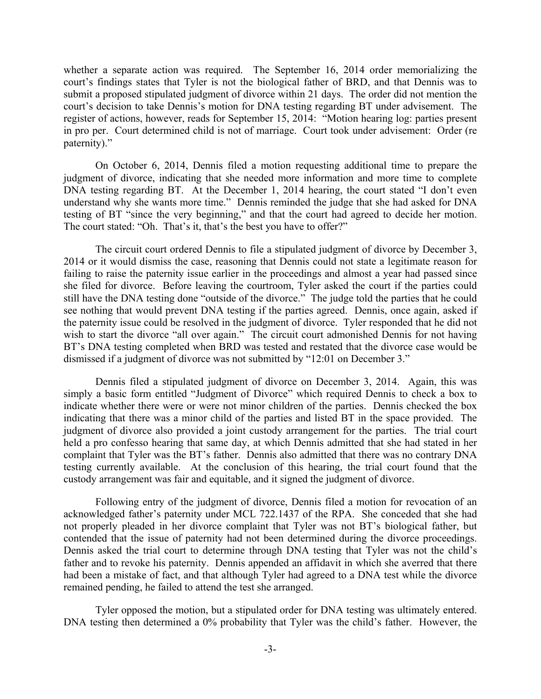whether a separate action was required. The September 16, 2014 order memorializing the court's findings states that Tyler is not the biological father of BRD, and that Dennis was to submit a proposed stipulated judgment of divorce within 21 days. The order did not mention the court's decision to take Dennis's motion for DNA testing regarding BT under advisement. The register of actions, however, reads for September 15, 2014: "Motion hearing log: parties present in pro per. Court determined child is not of marriage. Court took under advisement: Order (re paternity)."

 On October 6, 2014, Dennis filed a motion requesting additional time to prepare the judgment of divorce, indicating that she needed more information and more time to complete DNA testing regarding BT. At the December 1, 2014 hearing, the court stated "I don't even understand why she wants more time." Dennis reminded the judge that she had asked for DNA testing of BT "since the very beginning," and that the court had agreed to decide her motion. The court stated: "Oh. That's it, that's the best you have to offer?"

 The circuit court ordered Dennis to file a stipulated judgment of divorce by December 3, 2014 or it would dismiss the case, reasoning that Dennis could not state a legitimate reason for failing to raise the paternity issue earlier in the proceedings and almost a year had passed since she filed for divorce. Before leaving the courtroom, Tyler asked the court if the parties could still have the DNA testing done "outside of the divorce." The judge told the parties that he could see nothing that would prevent DNA testing if the parties agreed. Dennis, once again, asked if the paternity issue could be resolved in the judgment of divorce. Tyler responded that he did not wish to start the divorce "all over again." The circuit court admonished Dennis for not having BT's DNA testing completed when BRD was tested and restated that the divorce case would be dismissed if a judgment of divorce was not submitted by "12:01 on December 3."

 Dennis filed a stipulated judgment of divorce on December 3, 2014. Again, this was simply a basic form entitled "Judgment of Divorce" which required Dennis to check a box to indicate whether there were or were not minor children of the parties. Dennis checked the box indicating that there was a minor child of the parties and listed BT in the space provided. The judgment of divorce also provided a joint custody arrangement for the parties. The trial court held a pro confesso hearing that same day, at which Dennis admitted that she had stated in her complaint that Tyler was the BT's father. Dennis also admitted that there was no contrary DNA testing currently available. At the conclusion of this hearing, the trial court found that the custody arrangement was fair and equitable, and it signed the judgment of divorce.

 Following entry of the judgment of divorce, Dennis filed a motion for revocation of an acknowledged father's paternity under MCL 722.1437 of the RPA. She conceded that she had not properly pleaded in her divorce complaint that Tyler was not BT's biological father, but contended that the issue of paternity had not been determined during the divorce proceedings. Dennis asked the trial court to determine through DNA testing that Tyler was not the child's father and to revoke his paternity. Dennis appended an affidavit in which she averred that there had been a mistake of fact, and that although Tyler had agreed to a DNA test while the divorce remained pending, he failed to attend the test she arranged.

 Tyler opposed the motion, but a stipulated order for DNA testing was ultimately entered. DNA testing then determined a 0% probability that Tyler was the child's father. However, the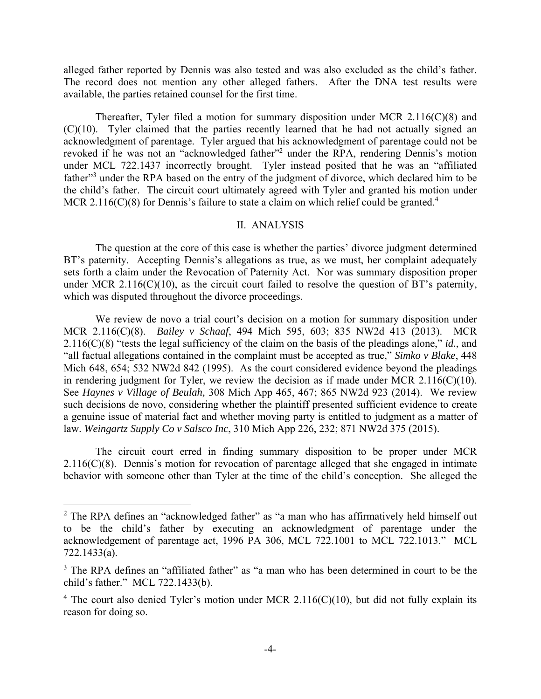alleged father reported by Dennis was also tested and was also excluded as the child's father. The record does not mention any other alleged fathers. After the DNA test results were available, the parties retained counsel for the first time.

 Thereafter, Tyler filed a motion for summary disposition under MCR 2.116(C)(8) and (C)(10). Tyler claimed that the parties recently learned that he had not actually signed an acknowledgment of parentage. Tyler argued that his acknowledgment of parentage could not be revoked if he was not an "acknowledged father"<sup>2</sup> under the RPA, rendering Dennis's motion under MCL 722.1437 incorrectly brought. Tyler instead posited that he was an "affiliated father"<sup>3</sup> under the RPA based on the entry of the judgment of divorce, which declared him to be the child's father. The circuit court ultimately agreed with Tyler and granted his motion under MCR 2.116(C)(8) for Dennis's failure to state a claim on which relief could be granted.<sup>4</sup>

### II. ANALYSIS

 The question at the core of this case is whether the parties' divorce judgment determined BT's paternity. Accepting Dennis's allegations as true, as we must, her complaint adequately sets forth a claim under the Revocation of Paternity Act. Nor was summary disposition proper under MCR 2.116( $C(10)$ , as the circuit court failed to resolve the question of BT's paternity, which was disputed throughout the divorce proceedings.

 We review de novo a trial court's decision on a motion for summary disposition under MCR 2.116(C)(8). *Bailey v Schaaf*, 494 Mich 595, 603; 835 NW2d 413 (2013). MCR 2.116(C)(8) "tests the legal sufficiency of the claim on the basis of the pleadings alone," *id.*, and "all factual allegations contained in the complaint must be accepted as true," *Simko v Blake*, 448 Mich 648, 654; 532 NW2d 842 (1995). As the court considered evidence beyond the pleadings in rendering judgment for Tyler, we review the decision as if made under MCR 2.116(C)(10). See *Haynes v Village of Beulah,* 308 Mich App 465, 467; 865 NW2d 923 (2014). We review such decisions de novo, considering whether the plaintiff presented sufficient evidence to create a genuine issue of material fact and whether moving party is entitled to judgment as a matter of law. *Weingartz Supply Co v Salsco Inc*, 310 Mich App 226, 232; 871 NW2d 375 (2015).

 The circuit court erred in finding summary disposition to be proper under MCR 2.116(C)(8). Dennis's motion for revocation of parentage alleged that she engaged in intimate behavior with someone other than Tyler at the time of the child's conception. She alleged the

1

<sup>&</sup>lt;sup>2</sup> The RPA defines an "acknowledged father" as "a man who has affirmatively held himself out to be the child's father by executing an acknowledgment of parentage under the acknowledgement of parentage act, 1996 PA 306, MCL 722.1001 to MCL 722.1013." MCL 722.1433(a).

<sup>&</sup>lt;sup>3</sup> The RPA defines an "affiliated father" as "a man who has been determined in court to be the child's father." MCL 722.1433(b).

<sup>&</sup>lt;sup>4</sup> The court also denied Tyler's motion under MCR 2.116(C)(10), but did not fully explain its reason for doing so.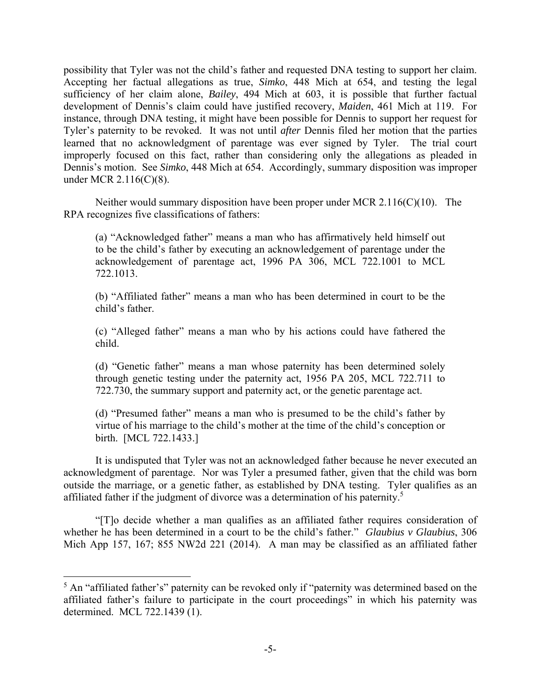possibility that Tyler was not the child's father and requested DNA testing to support her claim. Accepting her factual allegations as true, *Simko*, 448 Mich at 654, and testing the legal sufficiency of her claim alone, *Bailey*, 494 Mich at 603, it is possible that further factual development of Dennis's claim could have justified recovery, *Maiden*, 461 Mich at 119. For instance, through DNA testing, it might have been possible for Dennis to support her request for Tyler's paternity to be revoked. It was not until *after* Dennis filed her motion that the parties learned that no acknowledgment of parentage was ever signed by Tyler. The trial court improperly focused on this fact, rather than considering only the allegations as pleaded in Dennis's motion. See *Simko*, 448 Mich at 654. Accordingly, summary disposition was improper under MCR 2.116(C)(8).

 Neither would summary disposition have been proper under MCR 2.116(C)(10). The RPA recognizes five classifications of fathers:

(a) "Acknowledged father" means a man who has affirmatively held himself out to be the child's father by executing an acknowledgement of parentage under the acknowledgement of parentage act, 1996 PA 306, MCL 722.1001 to MCL 722.1013.

(b) "Affiliated father" means a man who has been determined in court to be the child's father.

(c) "Alleged father" means a man who by his actions could have fathered the child.

(d) "Genetic father" means a man whose paternity has been determined solely through genetic testing under the paternity act, 1956 PA 205, MCL 722.711 to 722.730, the summary support and paternity act, or the genetic parentage act.

(d) "Presumed father" means a man who is presumed to be the child's father by virtue of his marriage to the child's mother at the time of the child's conception or birth. [MCL 722.1433.]

 It is undisputed that Tyler was not an acknowledged father because he never executed an acknowledgment of parentage. Nor was Tyler a presumed father, given that the child was born outside the marriage, or a genetic father, as established by DNA testing. Tyler qualifies as an affiliated father if the judgment of divorce was a determination of his paternity.5

 "[T]o decide whether a man qualifies as an affiliated father requires consideration of whether he has been determined in a court to be the child's father." *Glaubius v Glaubius*, 306 Mich App 157, 167; 855 NW2d 221 (2014). A man may be classified as an affiliated father

1

 $<sup>5</sup>$  An "affiliated father's" paternity can be revoked only if "paternity was determined based on the</sup> affiliated father's failure to participate in the court proceedings" in which his paternity was determined. MCL 722.1439 (1).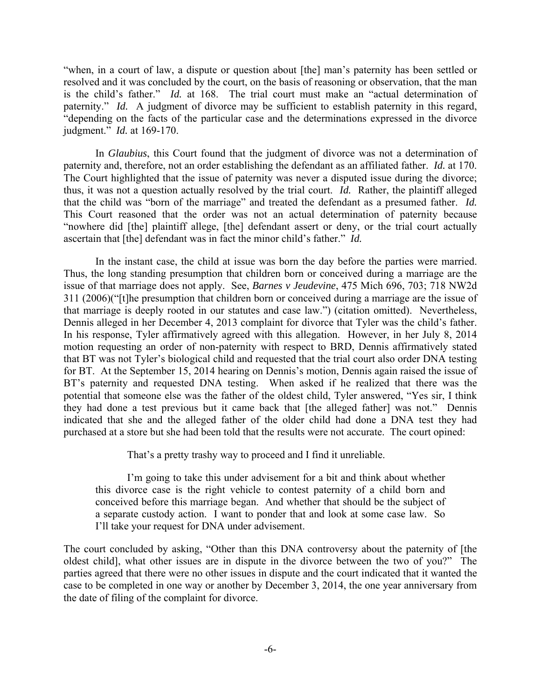"when, in a court of law, a dispute or question about [the] man's paternity has been settled or resolved and it was concluded by the court, on the basis of reasoning or observation, that the man is the child's father." *Id.* at 168. The trial court must make an "actual determination of paternity." *Id.* A judgment of divorce may be sufficient to establish paternity in this regard, "depending on the facts of the particular case and the determinations expressed in the divorce judgment." *Id.* at 169-170.

 In *Glaubius*, this Court found that the judgment of divorce was not a determination of paternity and, therefore, not an order establishing the defendant as an affiliated father. *Id.* at 170. The Court highlighted that the issue of paternity was never a disputed issue during the divorce; thus, it was not a question actually resolved by the trial court. *Id.* Rather, the plaintiff alleged that the child was "born of the marriage" and treated the defendant as a presumed father. *Id.* This Court reasoned that the order was not an actual determination of paternity because "nowhere did [the] plaintiff allege, [the] defendant assert or deny, or the trial court actually ascertain that [the] defendant was in fact the minor child's father." *Id.*

 In the instant case, the child at issue was born the day before the parties were married. Thus, the long standing presumption that children born or conceived during a marriage are the issue of that marriage does not apply. See, *Barnes v Jeudevine*, 475 Mich 696, 703; 718 NW2d 311 (2006)("[t]he presumption that children born or conceived during a marriage are the issue of that marriage is deeply rooted in our statutes and case law.") (citation omitted). Nevertheless, Dennis alleged in her December 4, 2013 complaint for divorce that Tyler was the child's father. In his response, Tyler affirmatively agreed with this allegation. However, in her July 8, 2014 motion requesting an order of non-paternity with respect to BRD, Dennis affirmatively stated that BT was not Tyler's biological child and requested that the trial court also order DNA testing for BT. At the September 15, 2014 hearing on Dennis's motion, Dennis again raised the issue of BT's paternity and requested DNA testing. When asked if he realized that there was the potential that someone else was the father of the oldest child, Tyler answered, "Yes sir, I think they had done a test previous but it came back that [the alleged father] was not." Dennis indicated that she and the alleged father of the older child had done a DNA test they had purchased at a store but she had been told that the results were not accurate. The court opined:

That's a pretty trashy way to proceed and I find it unreliable.

 I'm going to take this under advisement for a bit and think about whether this divorce case is the right vehicle to contest paternity of a child born and conceived before this marriage began. And whether that should be the subject of a separate custody action. I want to ponder that and look at some case law. So I'll take your request for DNA under advisement.

The court concluded by asking, "Other than this DNA controversy about the paternity of [the oldest child], what other issues are in dispute in the divorce between the two of you?" The parties agreed that there were no other issues in dispute and the court indicated that it wanted the case to be completed in one way or another by December 3, 2014, the one year anniversary from the date of filing of the complaint for divorce.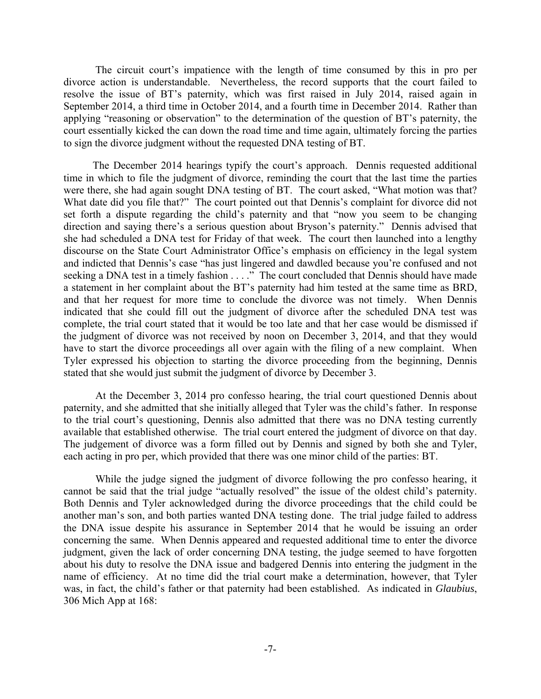The circuit court's impatience with the length of time consumed by this in pro per divorce action is understandable. Nevertheless, the record supports that the court failed to resolve the issue of BT's paternity, which was first raised in July 2014, raised again in September 2014, a third time in October 2014, and a fourth time in December 2014. Rather than applying "reasoning or observation" to the determination of the question of BT's paternity, the court essentially kicked the can down the road time and time again, ultimately forcing the parties to sign the divorce judgment without the requested DNA testing of BT.

 The December 2014 hearings typify the court's approach. Dennis requested additional time in which to file the judgment of divorce, reminding the court that the last time the parties were there, she had again sought DNA testing of BT. The court asked, "What motion was that? What date did you file that?" The court pointed out that Dennis's complaint for divorce did not set forth a dispute regarding the child's paternity and that "now you seem to be changing direction and saying there's a serious question about Bryson's paternity." Dennis advised that she had scheduled a DNA test for Friday of that week. The court then launched into a lengthy discourse on the State Court Administrator Office's emphasis on efficiency in the legal system and indicted that Dennis's case "has just lingered and dawdled because you're confused and not seeking a DNA test in a timely fashion . . . ." The court concluded that Dennis should have made a statement in her complaint about the BT's paternity had him tested at the same time as BRD, and that her request for more time to conclude the divorce was not timely. When Dennis indicated that she could fill out the judgment of divorce after the scheduled DNA test was complete, the trial court stated that it would be too late and that her case would be dismissed if the judgment of divorce was not received by noon on December 3, 2014, and that they would have to start the divorce proceedings all over again with the filing of a new complaint. When Tyler expressed his objection to starting the divorce proceeding from the beginning, Dennis stated that she would just submit the judgment of divorce by December 3.

 At the December 3, 2014 pro confesso hearing, the trial court questioned Dennis about paternity, and she admitted that she initially alleged that Tyler was the child's father. In response to the trial court's questioning, Dennis also admitted that there was no DNA testing currently available that established otherwise. The trial court entered the judgment of divorce on that day. The judgement of divorce was a form filled out by Dennis and signed by both she and Tyler, each acting in pro per, which provided that there was one minor child of the parties: BT.

 While the judge signed the judgment of divorce following the pro confesso hearing, it cannot be said that the trial judge "actually resolved" the issue of the oldest child's paternity. Both Dennis and Tyler acknowledged during the divorce proceedings that the child could be another man's son, and both parties wanted DNA testing done. The trial judge failed to address the DNA issue despite his assurance in September 2014 that he would be issuing an order concerning the same. When Dennis appeared and requested additional time to enter the divorce judgment, given the lack of order concerning DNA testing, the judge seemed to have forgotten about his duty to resolve the DNA issue and badgered Dennis into entering the judgment in the name of efficiency. At no time did the trial court make a determination, however, that Tyler was, in fact, the child's father or that paternity had been established. As indicated in *Glaubius*, 306 Mich App at 168: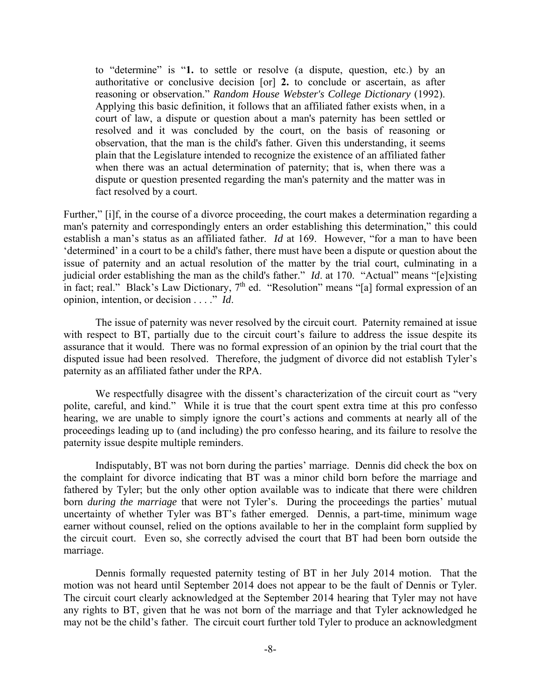to "determine" is "**1.** to settle or resolve (a dispute, question, etc.) by an authoritative or conclusive decision [or] **2.** to conclude or ascertain, as after reasoning or observation." *Random House Webster's College Dictionary* (1992). Applying this basic definition, it follows that an affiliated father exists when, in a court of law, a dispute or question about a man's paternity has been settled or resolved and it was concluded by the court, on the basis of reasoning or observation, that the man is the child's father. Given this understanding, it seems plain that the Legislature intended to recognize the existence of an affiliated father when there was an actual determination of paternity; that is, when there was a dispute or question presented regarding the man's paternity and the matter was in fact resolved by a court.

Further," [i]f, in the course of a divorce proceeding, the court makes a determination regarding a man's paternity and correspondingly enters an order establishing this determination," this could establish a man's status as an affiliated father. *Id* at 169. However, "for a man to have been 'determined' in a court to be a child's father, there must have been a dispute or question about the issue of paternity and an actual resolution of the matter by the trial court, culminating in a judicial order establishing the man as the child's father." *Id*. at 170. "Actual" means "[e]xisting in fact; real." Black's Law Dictionary, 7<sup>th</sup> ed. "Resolution" means "[a] formal expression of an opinion, intention, or decision . . . ." *Id*.

 The issue of paternity was never resolved by the circuit court. Paternity remained at issue with respect to BT, partially due to the circuit court's failure to address the issue despite its assurance that it would. There was no formal expression of an opinion by the trial court that the disputed issue had been resolved. Therefore, the judgment of divorce did not establish Tyler's paternity as an affiliated father under the RPA.

We respectfully disagree with the dissent's characterization of the circuit court as "very" polite, careful, and kind." While it is true that the court spent extra time at this pro confesso hearing, we are unable to simply ignore the court's actions and comments at nearly all of the proceedings leading up to (and including) the pro confesso hearing, and its failure to resolve the paternity issue despite multiple reminders.

 Indisputably, BT was not born during the parties' marriage. Dennis did check the box on the complaint for divorce indicating that BT was a minor child born before the marriage and fathered by Tyler; but the only other option available was to indicate that there were children born *during the marriage* that were not Tyler's. During the proceedings the parties' mutual uncertainty of whether Tyler was BT's father emerged. Dennis, a part-time, minimum wage earner without counsel, relied on the options available to her in the complaint form supplied by the circuit court. Even so, she correctly advised the court that BT had been born outside the marriage.

 Dennis formally requested paternity testing of BT in her July 2014 motion. That the motion was not heard until September 2014 does not appear to be the fault of Dennis or Tyler. The circuit court clearly acknowledged at the September 2014 hearing that Tyler may not have any rights to BT, given that he was not born of the marriage and that Tyler acknowledged he may not be the child's father. The circuit court further told Tyler to produce an acknowledgment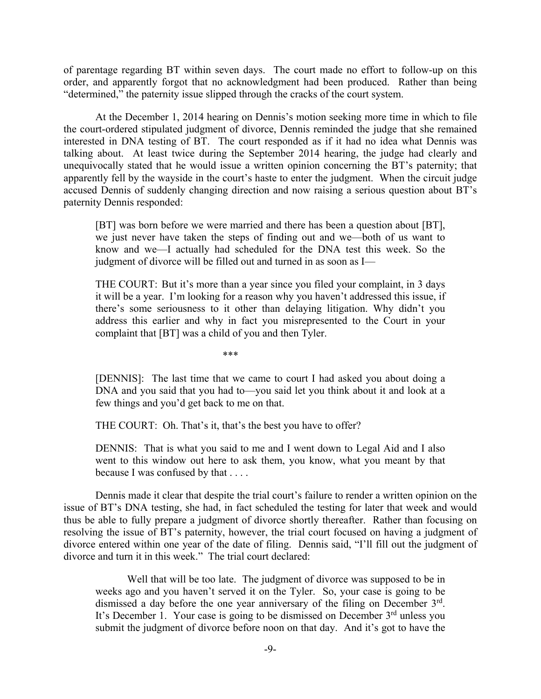of parentage regarding BT within seven days. The court made no effort to follow-up on this order, and apparently forgot that no acknowledgment had been produced. Rather than being "determined," the paternity issue slipped through the cracks of the court system.

 At the December 1, 2014 hearing on Dennis's motion seeking more time in which to file the court-ordered stipulated judgment of divorce, Dennis reminded the judge that she remained interested in DNA testing of BT. The court responded as if it had no idea what Dennis was talking about. At least twice during the September 2014 hearing, the judge had clearly and unequivocally stated that he would issue a written opinion concerning the BT's paternity; that apparently fell by the wayside in the court's haste to enter the judgment. When the circuit judge accused Dennis of suddenly changing direction and now raising a serious question about BT's paternity Dennis responded:

[BT] was born before we were married and there has been a question about [BT], we just never have taken the steps of finding out and we—both of us want to know and we—I actually had scheduled for the DNA test this week. So the judgment of divorce will be filled out and turned in as soon as I—

THE COURT: But it's more than a year since you filed your complaint, in 3 days it will be a year. I'm looking for a reason why you haven't addressed this issue, if there's some seriousness to it other than delaying litigation. Why didn't you address this earlier and why in fact you misrepresented to the Court in your complaint that [BT] was a child of you and then Tyler.

 $***$ 

[DENNIS]: The last time that we came to court I had asked you about doing a DNA and you said that you had to—you said let you think about it and look at a few things and you'd get back to me on that.

THE COURT: Oh. That's it, that's the best you have to offer?

DENNIS: That is what you said to me and I went down to Legal Aid and I also went to this window out here to ask them, you know, what you meant by that because I was confused by that . . . .

 Dennis made it clear that despite the trial court's failure to render a written opinion on the issue of BT's DNA testing, she had, in fact scheduled the testing for later that week and would thus be able to fully prepare a judgment of divorce shortly thereafter. Rather than focusing on resolving the issue of BT's paternity, however, the trial court focused on having a judgment of divorce entered within one year of the date of filing. Dennis said, "I'll fill out the judgment of divorce and turn it in this week." The trial court declared:

Well that will be too late. The judgment of divorce was supposed to be in weeks ago and you haven't served it on the Tyler. So, your case is going to be dismissed a day before the one year anniversary of the filing on December 3<sup>rd</sup>. It's December 1. Your case is going to be dismissed on December 3<sup>rd</sup> unless you submit the judgment of divorce before noon on that day. And it's got to have the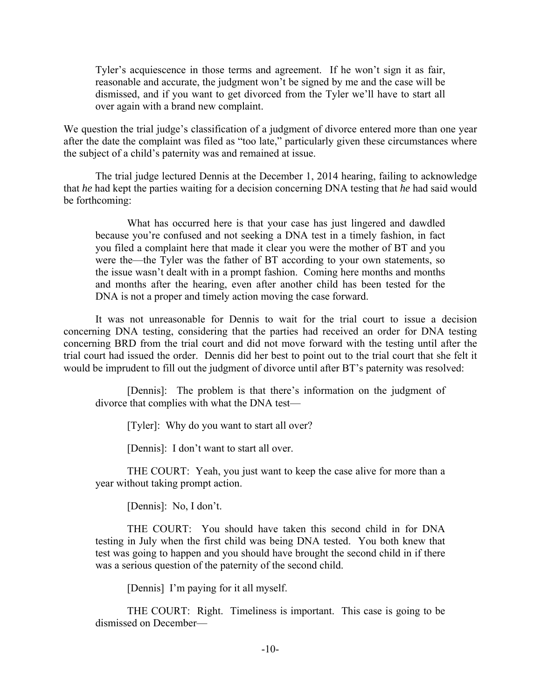Tyler's acquiescence in those terms and agreement. If he won't sign it as fair, reasonable and accurate, the judgment won't be signed by me and the case will be dismissed, and if you want to get divorced from the Tyler we'll have to start all over again with a brand new complaint.

We question the trial judge's classification of a judgment of divorce entered more than one year after the date the complaint was filed as "too late," particularly given these circumstances where the subject of a child's paternity was and remained at issue.

 The trial judge lectured Dennis at the December 1, 2014 hearing, failing to acknowledge that *he* had kept the parties waiting for a decision concerning DNA testing that *he* had said would be forthcoming:

 What has occurred here is that your case has just lingered and dawdled because you're confused and not seeking a DNA test in a timely fashion, in fact you filed a complaint here that made it clear you were the mother of BT and you were the—the Tyler was the father of BT according to your own statements, so the issue wasn't dealt with in a prompt fashion. Coming here months and months and months after the hearing, even after another child has been tested for the DNA is not a proper and timely action moving the case forward.

 It was not unreasonable for Dennis to wait for the trial court to issue a decision concerning DNA testing, considering that the parties had received an order for DNA testing concerning BRD from the trial court and did not move forward with the testing until after the trial court had issued the order. Dennis did her best to point out to the trial court that she felt it would be imprudent to fill out the judgment of divorce until after BT's paternity was resolved:

 [Dennis]: The problem is that there's information on the judgment of divorce that complies with what the DNA test—

[Tyler]: Why do you want to start all over?

[Dennis]: I don't want to start all over.

 THE COURT: Yeah, you just want to keep the case alive for more than a year without taking prompt action.

[Dennis]: No, I don't.

 THE COURT: You should have taken this second child in for DNA testing in July when the first child was being DNA tested. You both knew that test was going to happen and you should have brought the second child in if there was a serious question of the paternity of the second child.

[Dennis] I'm paying for it all myself.

 THE COURT: Right. Timeliness is important. This case is going to be dismissed on December